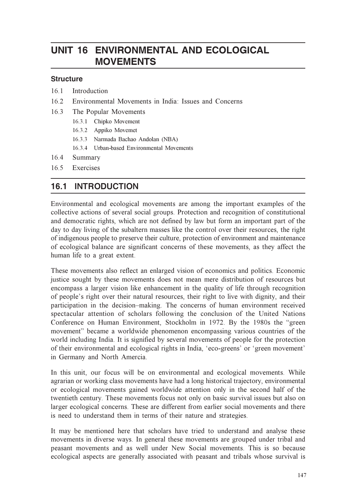# UNIT 16 ENVIRONMENTAL AND ECOLOGICAL **MOVEMENTS**

#### **Structure**

- 16.1 Introduction
- 16.2 Environmental Movements in India: Issues and Concerns
- 16.3 The Popular Movements
	- 16.3.1 Chipko Movement
	- 16.3.2 Appiko Movemet
	- 16.3.3 Narmada Bachao Andolan (NBA)
	- 16.3.4 Urban-based Environmental Movements
- 16.4 Summary
- 16.5 Exercises

# 16.1 INTRODUCTION

Environmental and ecological movements are among the important examples of the collective actions of several social groups. Protection and recognition of constitutional and democratic rights, which are not defined by law but form an important part of the day to day living of the subaltern masses like the control over their resources, the right of indigenous people to preserve their culture, protection of environment and maintenance of ecological balance are significant concerns of these movements, as they affect the human life to a great extent.

These movements also reflect an enlarged vision of economics and politics. Economic justice sought by these movements does not mean mere distribution of resources but encompass a larger vision like enhancement in the quality of life through recognition of people's right over their natural resources, their right to live with dignity, and their participation in the decision–making. The concerns of human environment received spectacular attention of scholars following the conclusion of the United Nations Conference on Human Environment, Stockholm in 1972. By the 1980s the "green movement" became a worldwide phenomenon encompassing various countries of the world including India. It is signified by several movements of people for the protection of their environmental and ecological rights in India, 'eco-greens' or 'green movement' in Germany and North Amercia.

In this unit, our focus will be on environmental and ecological movements. While agrarian or working class movements have had a long historical trajectory, environmental or ecological movements gained worldwide attention only in the second half of the twentieth century. These movements focus not only on basic survival issues but also on larger ecological concerns. These are different from earlier social movements and there is need to understand them in terms of their nature and strategies.

It may be mentioned here that scholars have tried to understand and analyse these movements in diverse ways. In general these movements are grouped under tribal and peasant movements and as well under New Social movements. This is so because ecological aspects are generally associated with peasant and tribals whose survival is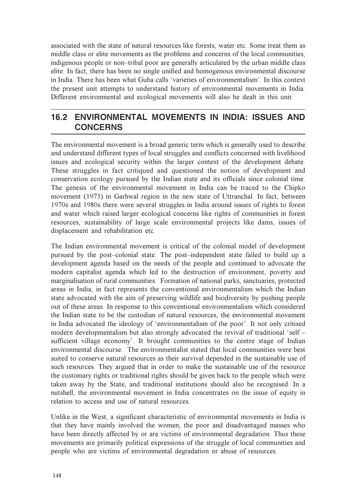associated with the state of natural resources like forests, water etc. Some treat them as middle class or elite movements as the problems and concerns of the local communities, indigenous people or non–tribal poor are generally articulated by the urban middle class elite. In fact, there has been no single unified and homogenous environmental discourse in India. There has been what Guha calls 'varieties of environmentalism'. In this context the present unit attempts to understand history of environmental movements in India. Different environmental and ecological movements will also be dealt in this unit.

## 16.2 ENVIRONMENTAL MOVEMENTS IN INDIA: ISSUES AND CONCERNS

The environmental movement is a broad generic term which is generally used to describe and understand different types of local struggles and conflicts concerned with livelihood issues and ecological security within the larger context of the development debate. These struggles in fact critiqued and questioned the notion of development and conservation ecology pursued by the Indian state and its officials since colonial time. The genesis of the environmental movement in India can be traced to the Chipko movement (1973) in Garhwal region in the new state of Uttranchal. In fact, between 1970s and 1980s there were several struggles in India around issues of rights to forest and water which raised larger ecological concerns like rights of communities in forest resources, sustainability of large scale environmental projects like dams, issues of displacement and rehabilitation etc.

The Indian environmental movement is critical of the colonial model of development pursued by the post–colonial state. The post–independent state failed to build up a development agenda based on the needs of the people and continued to advocate the modern capitalist agenda which led to the destruction of environment, poverty and marginalisation of rural communities. Formation of national parks, sanctuaries, protected areas in India, in fact represents the conventional environmentalism which the Indian state advocated with the aim of preserving wildlife and biodiversity by pushing people out of these areas. In response to this conventional environmentalism which considered the Indian state to be the custodian of natural resources, the environmental movement in India advocated the ideology of 'environmentalism of the poor'. It not only critised modern developmentalism but also strongly advocated the revival of traditional 'self – sufficient village economy'. It brought communities to the centre stage of Indian environmental discourse. The environmentalist stated that local communities were best suited to conserve natural resources as their survival depended in the sustainable use of such resources. They argued that in order to make the sustainable use of the resource the customary rights or traditional rights should be given back to the people which were taken away by the State, and traditional institutions should also be recognised. In a nutshell, the environmental movement in India concentrates on the issue of equity in relation to access and use of natural resources.

Unlike in the West, a significant characteristic of environmental movements in India is that they have mainly involved the women, the poor and disadvantaged masses who have been directly affected by or are victims of environmental degradation. Thus these movements are primarily political expressions of the struggle of local communities and people who are victims of environmental degradation or abuse of resources.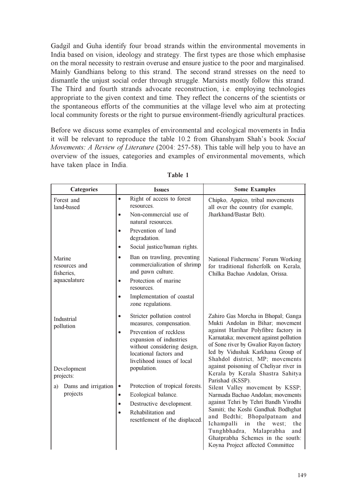Gadgil and Guha identify four broad strands within the environmental movements in India based on vision, ideology and strategy. The first types are those which emphasise on the moral necessity to restrain overuse and ensure justice to the poor and marginalised. Mainly Gandhians belong to this strand. The second strand stresses on the need to dismantle the unjust social order through struggle. Marxists mostly follow this strand. The Third and fourth strands advocate reconstruction, i.e. employing technologies appropriate to the given context and time. They reflect the concerns of the scientists or the spontaneous efforts of the communities at the village level who aim at protecting local community forests or the right to pursue environment-friendly agricultural practices.

Before we discuss some examples of environmental and ecological movements in India it will be relevant to reproduce the table 10.2 from Ghanshyam Shah's book Social Movements: A Review of Literature (2004: 257-58). This table will help you to have an overview of the issues, categories and examples of environmental movements, which have taken place in India.

| <b>Categories</b>                                     | <b>Issues</b>                                                                                                                                                                                                               | <b>Some Examples</b>                                                                                                                                                                                                                                                                                                                    |
|-------------------------------------------------------|-----------------------------------------------------------------------------------------------------------------------------------------------------------------------------------------------------------------------------|-----------------------------------------------------------------------------------------------------------------------------------------------------------------------------------------------------------------------------------------------------------------------------------------------------------------------------------------|
| Forest and<br>land-based                              | Right of access to forest<br>$\bullet$<br>resources.<br>Non-commercial use of<br>$\bullet$                                                                                                                                  | Chipko, Appico, tribal movements<br>all over the country (for example,<br>Jharkhand/Bastar Belt).                                                                                                                                                                                                                                       |
|                                                       | natural resources.<br>Prevention of land<br>$\bullet$<br>degradation.<br>Social justice/human rights.<br>$\bullet$                                                                                                          |                                                                                                                                                                                                                                                                                                                                         |
| Marine<br>resources and<br>fisheries.<br>aquaculature | Ban on trawling, preventing<br>$\bullet$<br>commercialization of shrimp<br>and pawn culture.<br>Protection of marine<br>$\bullet$<br>resources.<br>Implementation of coastal<br>$\bullet$<br>zone regulations.              | National Fishermens' Forum Working<br>for traditional fisherfolk on Kerala,<br>Chilka Bachao Andolan, Orissa.                                                                                                                                                                                                                           |
| Industrial<br>pollution                               | Stricter pollution control<br>$\bullet$<br>measures, compensation.<br>Prevention of reckless<br>$\bullet$<br>expansion of industries<br>without considering design,<br>locational factors and<br>livelihood issues of local | Zahiro Gas Morcha in Bhopal; Ganga<br>Mukti Andolan in Bihar; movement<br>against Harihar Polyfibre factory in<br>Karnataka; movement against pollution<br>of Sone river by Gwalior Rayon factory<br>led by Vidushak Karkhana Group of<br>Shahdol district, MP; movements                                                               |
| Development<br>projects:                              | population.                                                                                                                                                                                                                 | against poisoning of Cheliyar river in<br>Kerala by Kerala Shastra Sahitya<br>Parishad (KSSP).                                                                                                                                                                                                                                          |
| Dams and irrigation<br>a)<br>projects                 | Protection of tropical forests.<br>$\bullet$<br>Ecological balance.<br>$\bullet$<br>Destructive development.<br>$\bullet$<br>Rehabilitation and<br>$\bullet$<br>resettlement of the displaced.                              | Silent Valley movement by KSSP;<br>Narmada Bachao Andolan; movements<br>against Tehri by Tehri Bandh Virodhi<br>Samiti; the Koshi Gandhak Bodhghat<br>and Bedthi; Bhopalpatnam and<br>the west;<br>Ichampalli<br>in<br>the<br>Tunghbhadra,<br>Malaprabha<br>and<br>Ghatprabha Schemes in the south:<br>Koyna Project affected Committee |

Table 1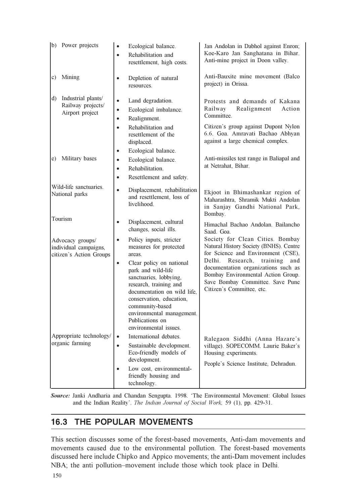| (b) Power projects                                                   | Ecological balance.<br>$\bullet$<br>Rehabilitation and<br>$\bullet$<br>resettlement, high costs.                                                                                                                                                                                                                                                   | Jan Andolan in Dabhol against Enron;<br>Koe-Karo Jan Sanghatana in Bihar.<br>Anti-mine project in Doon valley.                                                                                                                                                                                           |
|----------------------------------------------------------------------|----------------------------------------------------------------------------------------------------------------------------------------------------------------------------------------------------------------------------------------------------------------------------------------------------------------------------------------------------|----------------------------------------------------------------------------------------------------------------------------------------------------------------------------------------------------------------------------------------------------------------------------------------------------------|
| Mining<br>c)                                                         | Depletion of natural<br>$\bullet$<br>resources.                                                                                                                                                                                                                                                                                                    | Anti-Bauxite mine movement (Balco<br>project) in Orissa.                                                                                                                                                                                                                                                 |
| Industrial plants/<br>d)<br>Railway projects/<br>Airport project     | Land degradation.<br>$\bullet$<br>Ecological imbalance.<br>$\bullet$<br>Realignment.<br>$\bullet$<br>Rehabilitation and<br>$\bullet$<br>resettlement of the<br>displaced.                                                                                                                                                                          | Protests and demands of Kakana<br>Realignment<br>Railway<br>Action<br>Committee.<br>Citizen's group against Dupont Nylon<br>6.6. Goa. Amravati Bachao Abhyan<br>against a large chemical complex.                                                                                                        |
| Military bases<br>e)                                                 | Ecological balance.<br>$\bullet$<br>Ecological balance.<br>$\bullet$<br>Rehabilitation.<br>$\bullet$<br>Resettlement and safety.<br>$\bullet$                                                                                                                                                                                                      | Anti-missiles test range in Baliapal and<br>at Netrahat, Bihar.                                                                                                                                                                                                                                          |
| Wild-life sanctuaries.<br>National parks                             | $\bullet$<br>Displacement, rehabilitation<br>and resettlement, loss of<br>livelihood.                                                                                                                                                                                                                                                              | Ekjoot in Bhimashankar region of<br>Maharashtra, Shramik Mukti Andolan<br>in Sanjay Gandhi National Park,<br>Bombay.                                                                                                                                                                                     |
| Tourism                                                              | Displacement, cultural<br>$\bullet$<br>changes, social ills.                                                                                                                                                                                                                                                                                       | Himachal Bachao Andolan. Bailancho<br>Saad. Goa.                                                                                                                                                                                                                                                         |
| Advocacy groups/<br>individual campaigns,<br>citizen's Action Groups | $\bullet$<br>Policy inputs, stricter<br>measures for protected<br>areas.<br>Clear policy on national<br>$\bullet$<br>park and wild-life<br>sanctuaries, lobbying,<br>research, training and<br>documentation on wild life,<br>conservation, education,<br>community-based<br>environmental management.<br>Publications on<br>environmental issues. | Society for Clean Cities. Bombay<br>Natural History Society (BNHS). Centre<br>for Science and Environment (CSE),<br>Delhi.<br>Research,<br>training<br>and<br>documentation organizations such as<br>Bombay Environmental Action Group.<br>Save Bombay Committee. Save Pune<br>Citizen's Committee, etc. |
| Appropriate technology/<br>organic farming                           | International debates.<br>$\bullet$<br>Sustainable development.<br>$\bullet$<br>Eco-friendly models of                                                                                                                                                                                                                                             | Ralegaon Siddhi (Anna Hazare's<br>village). SOPECOMM. Laurie Baker's                                                                                                                                                                                                                                     |
|                                                                      | development.<br>Low cost, environmental-<br>$\bullet$<br>friendly housing and<br>technology.                                                                                                                                                                                                                                                       | Housing experiments.<br>People's Science Institute, Dehradun.                                                                                                                                                                                                                                            |

Source: Janki Andharia and Chandan Sengupta. 1998. 'The Environmental Movement: Global Issues and the Indian Reality'. The Indian Journal of Social Work, 59 (1), pp. 429-31.

# 16.3 THE POPULAR MOVEMENTS

This section discusses some of the forest-based movements, Anti-dam movements and movements caused due to the environmental pollution. The forest-based movements discussed here include Chipko and Appico movements; the anti-Dam movement includes NBA; the anti pollution–movement include those which took place in Delhi.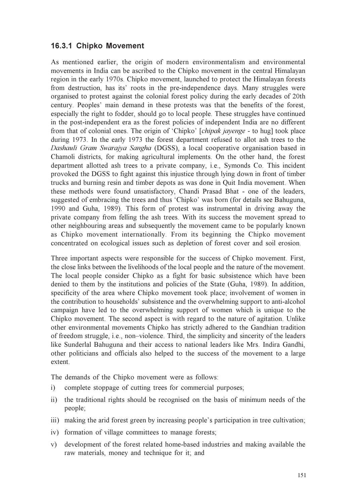#### 16.3.1 Chipko Movement

As mentioned earlier, the origin of modern environmentalism and environmental movements in India can be ascribed to the Chipko movement in the central Himalayan region in the early 1970s. Chipko movement, launched to protect the Himalayan forests from destruction, has its' roots in the pre-independence days. Many struggles were organised to protest against the colonial forest policy during the early decades of 20th century. Peoples' main demand in these protests was that the benefits of the forest, especially the right to fodder, should go to local people. These struggles have continued in the post-independent era as the forest policies of independent India are no different from that of colonial ones. The origin of 'Chipko' [*chipak jayenge* - to hug] took place during 1973. In the early 1973 the forest department refused to allot ash trees to the Dashauli Gram Swarajya Sangha (DGSS), a local cooperative organisation based in Chamoli districts, for making agricultural implements. On the other hand, the forest department allotted ash trees to a private company, i.e., Symonds Co. This incident provoked the DGSS to fight against this injustice through lying down in front of timber trucks and burning resin and timber depots as was done in Quit India movement. When these methods were found unsatisfactory, Chandi Prasad Bhat - one of the leaders, suggested of embracing the trees and thus 'Chipko' was born (for details see Bahuguna, 1990 and Guha, 1989). This form of protest was instrumental in driving away the private company from felling the ash trees. With its success the movement spread to other neighbouring areas and subsequently the movement came to be popularly known as Chipko movement internationally. From its beginning the Chipko movement concentrated on ecological issues such as depletion of forest cover and soil erosion.

Three important aspects were responsible for the success of Chipko movement. First, the close links between the livelihoods of the local people and the nature of the movement. The local people consider Chipko as a fight for basic subsistence which have been denied to them by the institutions and policies of the State (Guha, 1989). In addition, specificity of the area where Chipko movement took place; involvement of women in the contribution to households' subsistence and the overwhelming support to anti-alcohol campaign have led to the overwhelming support of women which is unique to the Chipko movement. The second aspect is with regard to the nature of agitation. Unlike other environmental movements Chipko has strictly adhered to the Gandhian tradition of freedom struggle, i.e., non–violence. Third, the simplicity and sincerity of the leaders like Sunderlal Bahuguna and their access to national leaders like Mrs. Indira Gandhi, other politicians and officials also helped to the success of the movement to a large extent.

The demands of the Chipko movement were as follows:

- i) complete stoppage of cutting trees for commercial purposes;
- ii) the traditional rights should be recognised on the basis of minimum needs of the people;
- iii) making the arid forest green by increasing people's participation in tree cultivation;
- iv) formation of village committees to manage forests;
- v) development of the forest related home-based industries and making available the raw materials, money and technique for it; and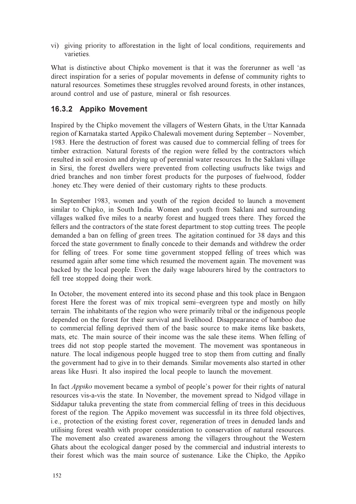vi) giving priority to afforestation in the light of local conditions, requirements and varieties.

What is distinctive about Chipko movement is that it was the forerunner as well 'as direct inspiration for a series of popular movements in defense of community rights to natural resources. Sometimes these struggles revolved around forests, in other instances, around control and use of pasture, mineral or fish resources.

### 16.3.2 Appiko Movement

Inspired by the Chipko movement the villagers of Western Ghats, in the Uttar Kannada region of Karnataka started Appiko Chalewali movement during September – November, 1983. Here the destruction of forest was caused due to commercial felling of trees for timber extraction. Natural forests of the region were felled by the contractors which resulted in soil erosion and drying up of perennial water resources. In the Saklani village in Sirsi, the forest dwellers were prevented from collecting usufructs like twigs and dried branches and non timber forest products for the purposes of fuelwood, fodder .honey etc.They were denied of their customary rights to these products.

In September 1983, women and youth of the region decided to launch a movement similar to Chipko, in South India. Women and youth from Saklani and surrounding villages walked five miles to a nearby forest and hugged trees there. They forced the fellers and the contractors of the state forest department to stop cutting trees. The people demanded a ban on felling of green trees. The agitation continued for 38 days and this forced the state government to finally concede to their demands and withdrew the order for felling of trees. For some time government stopped felling of trees which was resumed again after some time which resumed the movement again. The movement was backed by the local people. Even the daily wage labourers hired by the contractors to fell tree stopped doing their work.

In October, the movement entered into its second phase and this took place in Bengaon forest Here the forest was of mix tropical semi–evergreen type and mostly on hilly terrain. The inhabitants of the region who were primarily tribal or the indigenous people depended on the forest for their survival and livelihood. Disappearance of bamboo due to commercial felling deprived them of the basic source to make items like baskets, mats, etc. The main source of their income was the sale these items. When felling of trees did not stop people started the movement. The movement was spontaneous in nature. The local indigenous people hugged tree to stop them from cutting and finally the government had to give in to their demands. Similar movements also started in other areas like Husri. It also inspired the local people to launch the movement.

In fact Appiko movement became a symbol of people's power for their rights of natural resources vis-a-vis the state. In November, the movement spread to Nidgod village in Siddapur taluka preventing the state from commercial felling of trees in this deciduous forest of the region. The Appiko movement was successful in its three fold objectives, i.e., protection of the existing forest cover, regeneration of trees in denuded lands and utilising forest wealth with proper consideration to conservation of natural resources. The movement also created awareness among the villagers throughout the Western Ghats about the ecological danger posed by the commercial and industrial interests to their forest which was the main source of sustenance. Like the Chipko, the Appiko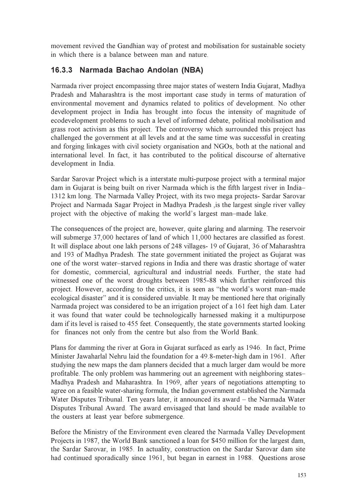movement revived the Gandhian way of protest and mobilisation for sustainable society in which there is a balance between man and nature.

# 16.3.3 Narmada Bachao Andolan (NBA)

Narmada river project encompassing three major states of western India Gujarat, Madhya Pradesh and Maharashtra is the most important case study in terms of maturation of environmental movement and dynamics related to politics of development. No other development project in India has brought into focus the intensity of magnitude of ecodevelopment problems to such a level of informed debate, political mobilisation and grass root activism as this project. The controversy which surrounded this project has challenged the government at all levels and at the same time was successful in creating and forging linkages with civil society organisation and NGOs, both at the national and international level. In fact, it has contributed to the political discourse of alternative development in India.

Sardar Sarovar Project which is a interstate multi-purpose project with a terminal major dam in Gujarat is being built on river Narmada which is the fifth largest river in India– 1312 km long. The Narmada Valley Project, with its two mega projects- Sardar Sarovar Project and Narmada Sagar Project in Madhya Pradesh ,is the largest single river valley project with the objective of making the world's largest man–made lake.

The consequences of the project are, however, quite glaring and alarming. The reservoir will submerge 37,000 hectares of land of which 11,000 hectares are classified as forest. It will displace about one lakh persons of 248 villages- 19 of Gujarat, 36 of Maharashtra and 193 of Madhya Pradesh. The state government initiated the project as Gujarat was one of the worst water–starved regions in India and there was drastic shortage of water for domestic, commercial, agricultural and industrial needs. Further, the state had witnessed one of the worst droughts between 1985-88 which further reinforced this project. However, according to the critics, it is seen as "the world's worst man–made ecological disaster" and it is considered unviable. It may be mentioned here that originally Narmada project was considered to be an irrigation project of a 161 feet high dam. Later it was found that water could be technologically harnessed making it a multipurpose dam if its level is raised to 455 feet. Consequently, the state governments started looking for finances not only from the centre but also from the World Bank.

Plans for damming the river at Gora in Gujarat surfaced as early as 1946. In fact, Prime Minister Jawaharlal Nehru laid the foundation for a 49.8-meter-high dam in 1961. After studying the new maps the dam planners decided that a much larger dam would be more profitable. The only problem was hammering out an agreement with neighboring states– Madhya Pradesh and Maharashtra. In 1969, after years of negotiations attempting to agree on a feasible water-sharing formula, the Indian government established the Narmada Water Disputes Tribunal. Ten years later, it announced its award – the Narmada Water Disputes Tribunal Award. The award envisaged that land should be made available to the ousters at least year before submergence.

Before the Ministry of the Environment even cleared the Narmada Valley Development Projects in 1987, the World Bank sanctioned a loan for \$450 million for the largest dam, the Sardar Sarovar, in 1985. In actuality, construction on the Sardar Sarovar dam site had continued sporadically since 1961, but began in earnest in 1988. Questions arose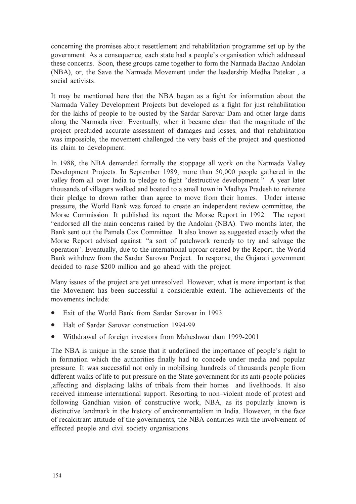concerning the promises about resettlement and rehabilitation programme set up by the government. As a consequence, each state had a people's organisation which addressed these concerns. Soon, these groups came together to form the Narmada Bachao Andolan (NBA), or, the Save the Narmada Movement under the leadership Medha Patekar , a social activists.

It may be mentioned here that the NBA began as a fight for information about the Narmada Valley Development Projects but developed as a fight for just rehabilitation for the lakhs of people to be ousted by the Sardar Sarovar Dam and other large dams along the Narmada river. Eventually, when it became clear that the magnitude of the project precluded accurate assessment of damages and losses, and that rehabilitation was impossible, the movement challenged the very basis of the project and questioned its claim to development.

In 1988, the NBA demanded formally the stoppage all work on the Narmada Valley Development Projects. In September 1989, more than 50,000 people gathered in the valley from all over India to pledge to fight "destructive development." A year later thousands of villagers walked and boated to a small town in Madhya Pradesh to reiterate their pledge to drown rather than agree to move from their homes. Under intense pressure, the World Bank was forced to create an independent review committee, the Morse Commission. It published its report the Morse Report in 1992. The report "endorsed all the main concerns raised by the Andolan (NBA). Two months later, the Bank sent out the Pamela Cox Committee. It also known as suggested exactly what the Morse Report advised against: "a sort of patchwork remedy to try and salvage the operation". Eventually, due to the international uproar created by the Report, the World Bank withdrew from the Sardar Sarovar Project. In response, the Gujarati government decided to raise \$200 million and go ahead with the project.

Many issues of the project are yet unresolved. However, what is more important is that the Movement has been successful a considerable extent. The achievements of the movements include:

- Exit of the World Bank from Sardar Sarovar in 1993
- Halt of Sardar Sarovar construction 1994-99
- Withdrawal of foreign investors from Maheshwar dam 1999-2001

The NBA is unique in the sense that it underlined the importance of people's right to in formation which the authorities finally had to concede under media and popular pressure. It was successful not only in mobilising hundreds of thousands people from different walks of life to put pressure on the State government for its anti-people policies ,affecting and displacing lakhs of tribals from their homes and livelihoods. It also received immense international support. Resorting to non–violent mode of protest and following Gandhian vision of constructive work, NBA, as its popularly known is distinctive landmark in the history of environmentalism in India. However, in the face of recalcitrant attitude of the governments, the NBA continues with the involvement of effected people and civil society organisations.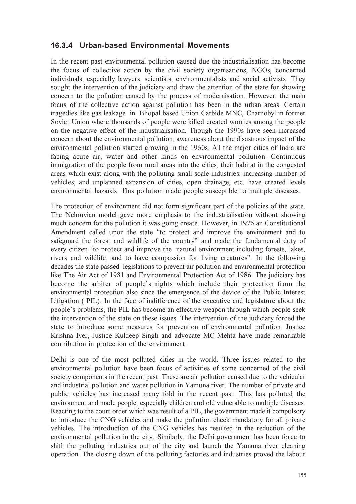#### 16.3.4 Urban-based Environmental Movements

In the recent past environmental pollution caused due the industrialisation has become the focus of collective action by the civil society organisations, NGOs, concerned individuals, especially lawyers, scientists, environmentalists and social activists. They sought the intervention of the judiciary and drew the attention of the state for showing concern to the pollution caused by the process of modernisation. However, the main focus of the collective action against pollution has been in the urban areas. Certain tragedies like gas leakage in Bhopal based Union Carbide MNC, Charnobyl in former Soviet Union where thousands of people were killed created worries among the people on the negative effect of the industrialisation. Though the 1990s have seen increased concern about the environmental pollution, awareness about the disastrous impact of the environmental pollution started growing in the 1960s. All the major cities of India are facing acute air, water and other kinds on environmental pollution. Continuous immigration of the people from rural areas into the cities, their habitat in the congested areas which exist along with the polluting small scale industries; increasing number of vehicles; and unplanned expansion of cities, open drainage, etc. have created levels environmental hazards. This pollution made people susceptible to multiple diseases.

The protection of environment did not form significant part of the policies of the state. The Nehruvian model gave more emphasis to the industrialisation without showing much concern for the pollution it was going create. However, in 1976 an Constitutional Amendment called upon the state "to protect and improve the environment and to safeguard the forest and wildlife of the country" and made the fundamental duty of every citizen "to protect and improve the natural environment including forests, lakes, rivers and wildlife, and to have compassion for living creatures". In the following decades the state passed legislations to prevent air pollution and environmental protection like The Air Act of 1981 and Environmental Protection Act of 1986. The judiciary has become the arbiter of people's rights which include their protection from the environmental protection also since the emergence of the device of the Public Interest Litigation ( PIL). In the face of indifference of the executive and legislature about the people's problems, the PIL has become an effective weapon through which people seek the intervention of the state on these issues. The intervention of the judiciary forced the state to introduce some measures for prevention of environmental pollution. Justice Krishna Iyer, Justice Kuldeep Singh and advocate MC Mehta have made remarkable contribution in protection of the environment.

Delhi is one of the most polluted cities in the world. Three issues related to the environmental pollution have been focus of activities of some concerned of the civil society components in the recent past. These are air pollution caused due to the vehicular and industrial pollution and water pollution in Yamuna river. The number of private and public vehicles has increased many fold in the recent past. This has polluted the environment and made people, especially children and old vulnerable to multiple diseases. Reacting to the court order which was result of a PIL, the government made it compulsory to introduce the CNG vehicles and make the pollution check mandatory for all private vehicles. The introduction of the CNG vehicles has resulted in the reduction of the environmental pollution in the city. Similarly, the Delhi government has been force to shift the polluting industries out of the city and launch the Yamuna river cleaning operation. The closing down of the polluting factories and industries proved the labour